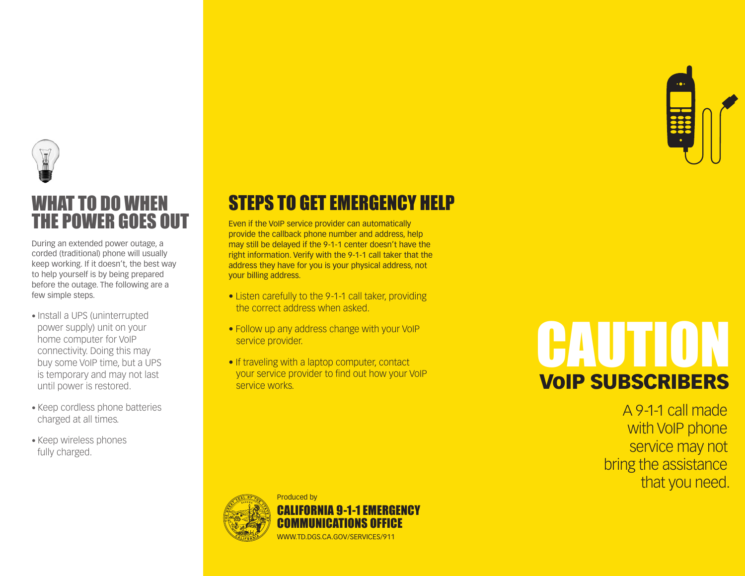

### WHAT TO DO WHEN THE POWER GOES OUT

During an extended power outage, a corded (traditional) phone will usually keep working. If it doesn't, the best way to help yourself is by being prepared before the outage. The following are a few simple steps.

- Install a UPS (uninterrupted power supply) unit on your home computer for VoIP connectivity. Doing this may buy some VoIP time, but a UPS is temporary and may not last until power is restored.
- Keep cordless phone batteries charged at all times.
- Keep wireless phones fully charged.

### STEPS TO GET EMERGENCY HELP

Even if the VoIP service provider can automatically provide the callback phone number and address, help may still be delayed if the 9-1-1 center doesn't have the right information. Verify with the 9-1-1 call taker that the address they have for you is your physical address, not your billing address.

- Listen carefully to the 9-1-1 call taker, providing the correct address when asked.
- Follow up any address change with your VoIP service provider.
- If traveling with a laptop computer, contact your service provider to find out how your VoIP service works.

## VoIP SUBSCRIBERS CAUTION

A 9-1-1 call made with VoIP phone service may not bring the assistance that you need.